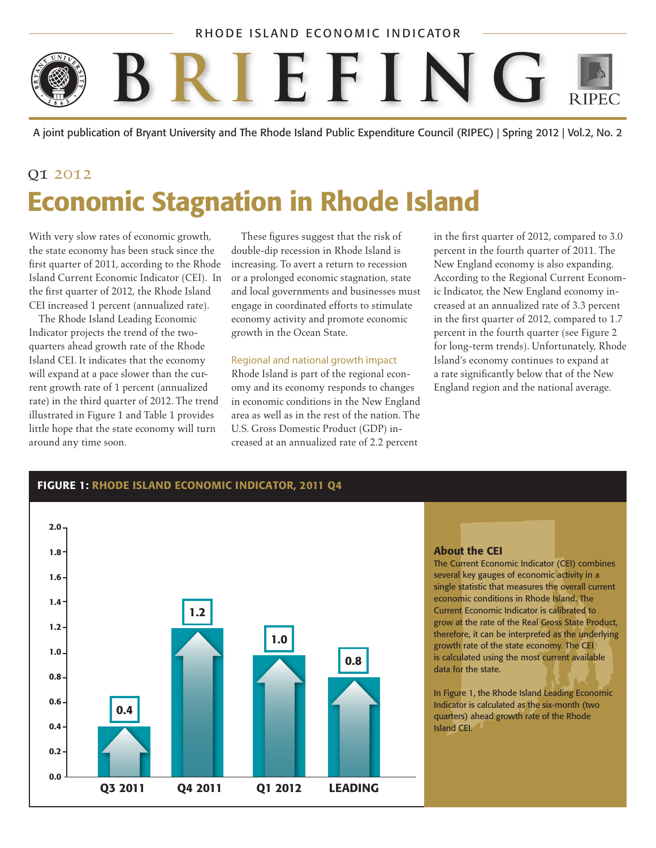### RHODE ISLAND ECONOMIC INDICATOR



A joint publication of Bryant University and The Rhode Island Public Expenditure Council (RIPEC) | Spring 2012 | Vol.2, No. 2

# 01 2012 Economic Stagnation in Rhode Island

With very slow rates of economic growth, the state economy has been stuck since the first quarter of 2011, according to the Rhode Island Current Economic Indicator (CEI). In the first quarter of 2012, the Rhode Island CEI increased 1 percent (annualized rate).

The Rhode Island Leading Economic Indicator projects the trend of the twoquarters ahead growth rate of the Rhode Island CEI. It indicates that the economy will expand at a pace slower than the current growth rate of 1 percent (annualized rate) in the third quarter of 2012. The trend illustrated in Figure 1 and Table 1 provides little hope that the state economy will turn around any time soon.

These figures suggest that the risk of double-dip recession in Rhode Island is increasing. To avert a return to recession or a prolonged economic stagnation, state and local governments and businesses must engage in coordinated efforts to stimulate economy activity and promote economic growth in the Ocean State.

#### Regional and national growth impact

Rhode Island is part of the regional economy and its economy responds to changes in economic conditions in the New England area as well as in the rest of the nation. The U.S. Gross Domestic Product (GDP) increased at an annualized rate of 2.2 percent

in the first quarter of 2012, compared to 3.0 percent in the fourth quarter of 2011. The New England economy is also expanding. According to the Regional Current Economic Indicator, the New England economy increased at an annualized rate of 3.3 percent in the first quarter of 2012, compared to 1.7 percent in the fourth quarter (see Figure 2 for long-term trends). Unfortunately, Rhode Island's economy continues to expand at a rate significantly below that of the New England region and the national average.



#### About the CEI

The Current Economic Indicator (CEI) combines several key gauges of economic activity in a single statistic that measures the overall current economic conditions in Rhode Island. The Current Economic Indicator is calibrated to grow at the rate of the Real Gross State Product, therefore, it can be interpreted as the underlying growth rate of the state economy. The CEI is calculated using the most current available data for the state.

In Figure 1, the Rhode Island Leading Economic Indicator is calculated as the six-month (two quarters) ahead growth rate of the Rhode Island CEI.